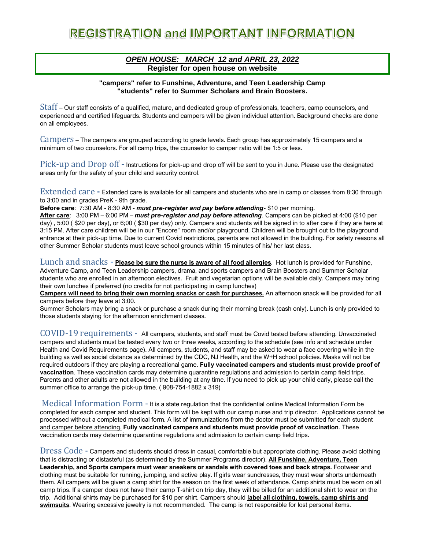#### *OPEN HOUSE: MARCH 12 and APRIL 23, 2022*  **Register for open house on website**

#### **"campers" refer to Funshine, Adventure, and Teen Leadership Camp "students" refer to Summer Scholars and Brain Boosters.**

Staff – Our staff consists of a qualified, mature, and dedicated group of professionals, teachers, camp counselors, and experienced and certified lifeguards. Students and campers will be given individual attention. Background checks are done on all employees.

Campers – The campers are grouped according to grade levels. Each group has approximately 15 campers and a minimum of two counselors. For all camp trips, the counselor to camper ratio will be 1:5 or less.

Pick-up and Drop off - Instructions for pick-up and drop off will be sent to you in June. Please use the designated areas only for the safety of your child and security control.

Extended care **-** Extended care is available for all campers and students who are in camp or classes from 8:30 through to 3:00 and in grades PreK - 9th grade.

**Before care**: 7:30 AM - 8:30 AM *- must pre-register and pay before attending*- \$10 per morning.

**After care**: 3:00 PM – 6:00 PM – *must pre-register and pay before attending*. Campers can be picked at 4:00 (\$10 per day) , 5:00 ( \$20 per day), or 6;00 ( \$30 per day) only. Campers and students will be signed in to after care if they are here at 3:15 PM. After care children will be in our "Encore" room and/or playground. Children will be brought out to the playground entrance at their pick-up time. Due to current Covid restrictions, parents are not allowed in the building. For safety reasons all other Summer Scholar students must leave school grounds within 15 minutes of his/ her last class.

Lunch and snacks **- Please be sure the nurse is aware of all food allergies**. Hot lunch is provided for Funshine, Adventure Camp, and Teen Leadership campers, drama, and sports campers and Brain Boosters and Summer Scholar students who are enrolled in an afternoon electives. Fruit and vegetarian options will be available daily. Campers may bring their own lunches if preferred (no credits for not participating in camp lunches)

**Campers will need to bring their own morning snacks or cash for purchases.** An afternoon snack will be provided for all campers before they leave at 3:00.

Summer Scholars may bring a snack or purchase a snack during their morning break (cash only). Lunch is only provided to those students staying for the afternoon enrichment classes.

COVID-19 requirements - All campers, students, and staff must be Covid tested before attending. Unvaccinated campers and students must be tested every two or three weeks, according to the schedule (see info and schedule under Health and Covid Requirements page). All campers, students, and staff may be asked to wear a face covering while in the building as well as social distance as determined by the CDC, NJ Health, and the W+H school policies. Masks will not be required outdoors if they are playing a recreational game. **Fully vaccinated campers and students must provide proof of vaccination**. These vaccination cards may determine quarantine regulations and admission to certain camp field trips. Parents and other adults are not allowed in the building at any time. If you need to pick up your child early, please call the summer office to arrange the pick-up time. ( 908-754-1882 x 319)

Medical Information Form - It is a state regulation that the confidential online Medical Information Form be completed for each camper and student. This form will be kept with our camp nurse and trip director. Applications cannot be processed without a completed medical form. A list of immunizations from the doctor must be submitted for each student and camper before attending. **Fully vaccinated campers and students must provide proof of vaccination**. These vaccination cards may determine quarantine regulations and admission to certain camp field trips.

Dress Code - Campers and students should dress in casual, comfortable but appropriate clothing. Please avoid clothing that is distracting or distasteful (as determined by the Summer Programs director). **All Funshine, Adventure, Teen Leadership, and Sports campers must wear sneakers or sandals with covered toes and back straps.** Footwear and clothing must be suitable for running, jumping, and active play. If girls wear sundresses, they must wear shorts underneath them. All campers will be given a camp shirt for the season on the first week of attendance. Camp shirts must be worn on all camp trips. If a camper does not have their camp T-shirt on trip day, they will be billed for an additional shirt to wear on the trip. Additional shirts may be purchased for \$10 per shirt. Campers should **label all clothing, towels, camp shirts and swimsuits**. Wearing excessive jewelry is not recommended. The camp is not responsible for lost personal items.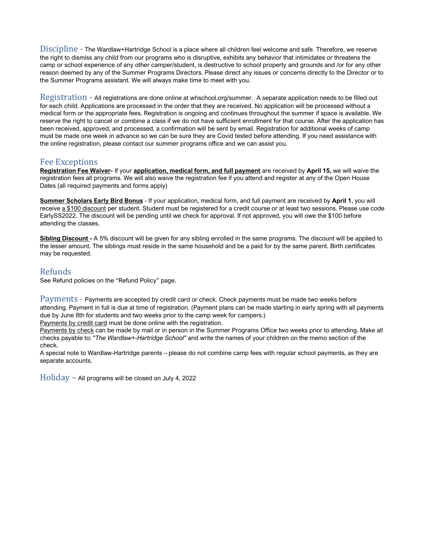Discipline - The Wardlaw+Hartridge School is a place where all children feel welcome and safe. Therefore, we reserve the right to dismiss any child from our programs who is disruptive, exhibits any behavior that intimidates or threatens the camp or school experience of any other camper/student, is destructive to school property and grounds and /or for any other reason deemed by any of the Summer Programs Directors. Please direct any issues or concerns directly to the Director or to the Summer Programs assistant. We will always make time to meet with you.

Registration - All registrations are done online at whschool.org/summer. A separate application needs to be filled out for each child. Applications are processed in the order that they are received. No application will be processed without a medical form or the appropriate fees. Registration is ongoing and continues throughout the summer if space is available. We reserve the right to cancel or combine a class if we do not have sufficient enrollment for that course. After the application has been received, approved, and processed, a confirmation will be sent by email. Registration for additional weeks of camp must be made one week in advance so we can be sure they are Covid tested before attending. If you need assistance with the online registration, please contact our summer programs office and we can assist you.

### Fee Exceptions

**Registration Fee Waiver-** If your **application, medical form, and full payment** are received by **April 15,** we will waive the registration fees all programs. We will also waive the registration fee if you attend and register at any of the Open House Dates (all required payments and forms apply)

**Summer Scholars Early Bird Bonus** - If your application, medical form, and full payment are received by **April 1**, you will receive a \$100 discount per student. Student must be registered for a credit course or at least two sessions. Please use code EarlySS2022. The discount will be pending until we check for approval. If not approved, you will owe the \$100 before attending the classes.

**Sibling Discount -** A 5% discount will be given for any sibling enrolled in the same programs. The discount will be applied to the lesser amount. The siblings must reside in the same household and be a paid for by the same parent. Birth certificates may be requested.

## Refunds

See Refund policies on the "Refund Policy" page.

Payments - Payments are accepted by credit card or check. Check payments must be made two weeks before attending. Payment in full is due at time of registration. (Payment plans can be made starting in early spring with all payments due by June 8th for students and two weeks prior to the camp week for campers.)

Payments by credit card must be done online with the registration.

Payments by check can be made by mail or in person in the Summer Programs Office two weeks prior to attending. Make all checks payable to: "*The Wardlaw+-Hartridge School"* and write the names of your children on the memo section of the check.

A special note to Wardlaw-Hartridge parents – please do not combine camp fees with regular school payments, as they are separate accounts.

 $Holiday - All programs will be closed on July 4, 2022$